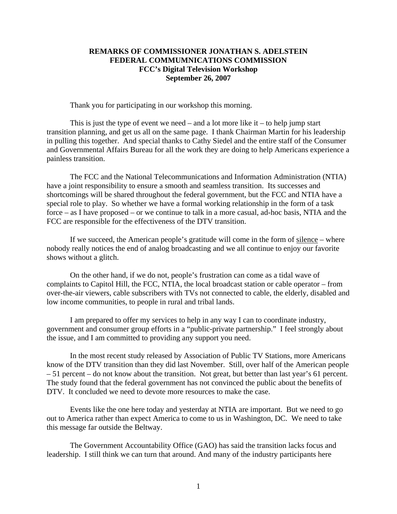## **REMARKS OF COMMISSIONER JONATHAN S. ADELSTEIN FEDERAL COMMUMNICATIONS COMMISSION FCC's Digital Television Workshop September 26, 2007**

Thank you for participating in our workshop this morning.

This is just the type of event we need – and a lot more like it – to help jump start transition planning, and get us all on the same page. I thank Chairman Martin for his leadership in pulling this together. And special thanks to Cathy Siedel and the entire staff of the Consumer and Governmental Affairs Bureau for all the work they are doing to help Americans experience a painless transition.

 The FCC and the National Telecommunications and Information Administration (NTIA) have a joint responsibility to ensure a smooth and seamless transition. Its successes and shortcomings will be shared throughout the federal government, but the FCC and NTIA have a special role to play. So whether we have a formal working relationship in the form of a task force – as I have proposed – or we continue to talk in a more casual, ad-hoc basis, NTIA and the FCC are responsible for the effectiveness of the DTV transition.

 If we succeed, the American people's gratitude will come in the form of silence – where nobody really notices the end of analog broadcasting and we all continue to enjoy our favorite shows without a glitch.

 On the other hand, if we do not, people's frustration can come as a tidal wave of complaints to Capitol Hill, the FCC, NTIA, the local broadcast station or cable operator – from over-the-air viewers, cable subscribers with TVs not connected to cable, the elderly, disabled and low income communities, to people in rural and tribal lands.

 I am prepared to offer my services to help in any way I can to coordinate industry, government and consumer group efforts in a "public-private partnership." I feel strongly about the issue, and I am committed to providing any support you need.

 In the most recent study released by Association of Public TV Stations, more Americans know of the DTV transition than they did last November. Still, over half of the American people – 51 percent – do not know about the transition. Not great, but better than last year's 61 percent. The study found that the federal government has not convinced the public about the benefits of DTV. It concluded we need to devote more resources to make the case.

 Events like the one here today and yesterday at NTIA are important. But we need to go out to America rather than expect America to come to us in Washington, DC. We need to take this message far outside the Beltway.

 The Government Accountability Office (GAO) has said the transition lacks focus and leadership. I still think we can turn that around. And many of the industry participants here